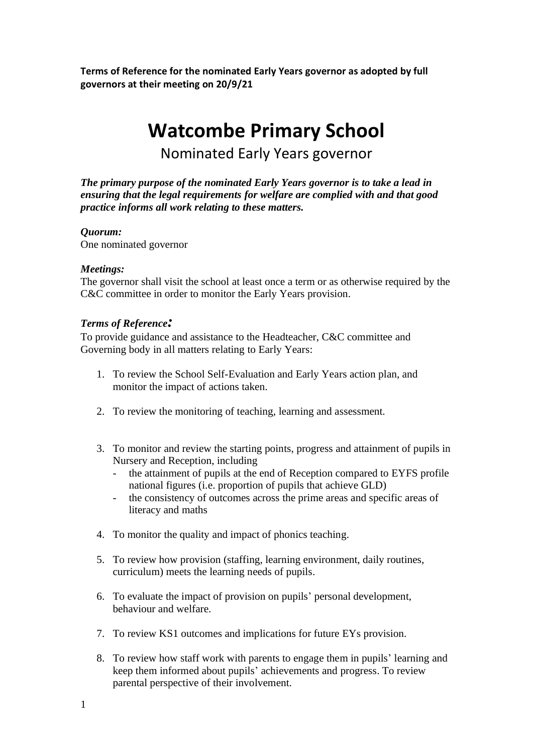**Terms of Reference for the nominated Early Years governor as adopted by full governors at their meeting on 20/9/21**

# **Watcombe Primary School**

Nominated Early Years governor

*The primary purpose of the nominated Early Years governor is to take a lead in ensuring that the legal requirements for welfare are complied with and that good practice informs all work relating to these matters.* 

## *Quorum:*

One nominated governor

## *Meetings:*

The governor shall visit the school at least once a term or as otherwise required by the C&C committee in order to monitor the Early Years provision.

## *Terms of Reference:*

To provide guidance and assistance to the Headteacher, C&C committee and Governing body in all matters relating to Early Years:

- 1. To review the School Self-Evaluation and Early Years action plan, and monitor the impact of actions taken.
- 2. To review the monitoring of teaching, learning and assessment.
- 3. To monitor and review the starting points, progress and attainment of pupils in Nursery and Reception, including
	- the attainment of pupils at the end of Reception compared to EYFS profile national figures (i.e. proportion of pupils that achieve GLD)
	- the consistency of outcomes across the prime areas and specific areas of literacy and maths
- 4. To monitor the quality and impact of phonics teaching.
- 5. To review how provision (staffing, learning environment, daily routines, curriculum) meets the learning needs of pupils.
- 6. To evaluate the impact of provision on pupils' personal development, behaviour and welfare.
- 7. To review KS1 outcomes and implications for future EYs provision.
- 8. To review how staff work with parents to engage them in pupils' learning and keep them informed about pupils' achievements and progress. To review parental perspective of their involvement.